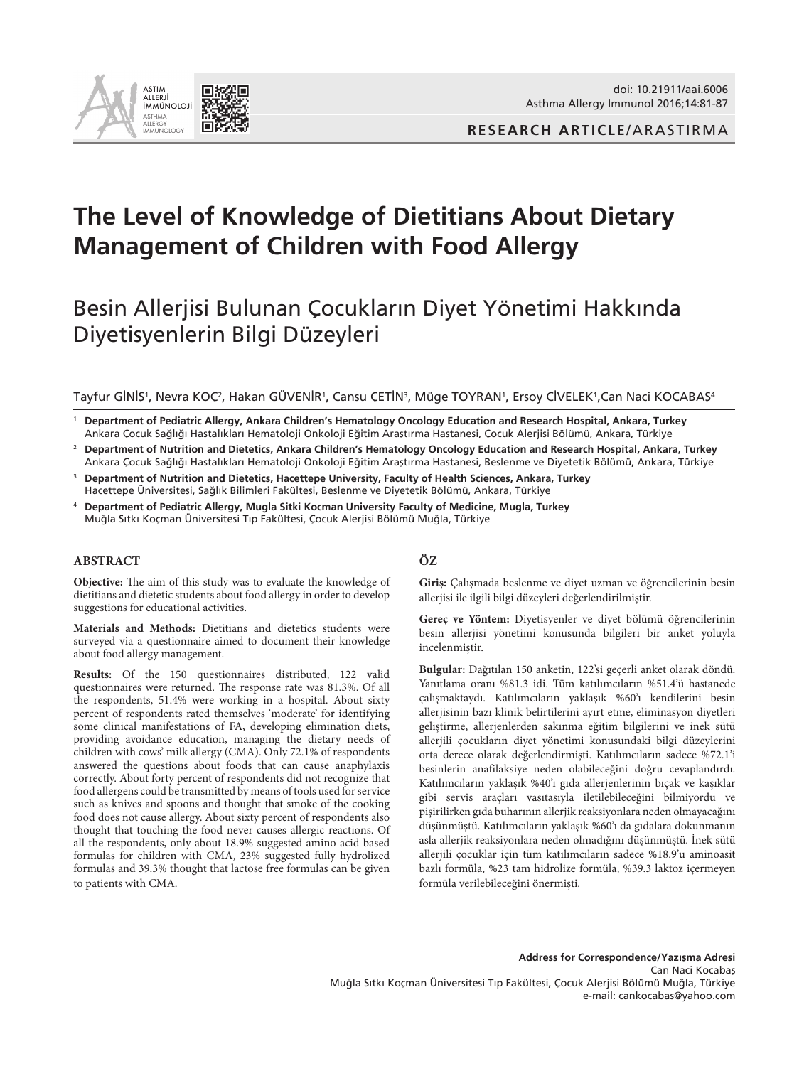

**RESEARCH ARTICLE**/ARAŞTIRMA

# **The Level of Knowledge of Dietitians About Dietary Management of Children with Food Allergy**

## Besin Allerjisi Bulunan Çocukların Diyet Yönetimi Hakkında Diyetisyenlerin Bilgi Düzeyleri

Tayfur GINIŞ', Nevra KOÇ<sup>2</sup>, Hakan GUVENIR', Cansu ÇETIN<sup>3</sup>, Müge TOYRAN', Ersoy CIVELEK',Can Naci KOCABAŞ<sup>4</sup>

<sup>1</sup> **Department of Pediatric Allergy, Ankara Children's Hematology Oncology Education and Research Hospital, Ankara, Turkey**  Ankara Çocuk Sağlığı Hastalıkları Hematoloji Onkoloji Eğitim Araştırma Hastanesi, Çocuk Alerjisi Bölümü, Ankara, Türkiye

<sup>2</sup> **Department of Nutrition and Dietetics, Ankara Children's Hematology Oncology Education and Research Hospital, Ankara, Turkey**  Ankara Çocuk Sağlığı Hastalıkları Hematoloji Onkoloji Eğitim Araştırma Hastanesi, Beslenme ve Diyetetik Bölümü, Ankara, Türkiye

- <sup>3</sup> **Department of Nutrition and Dietetics, Hacettepe University, Faculty of Health Sciences, Ankara, Turkey** Hacettepe Üniversitesi, Sağlık Bilimleri Fakültesi, Beslenme ve Diyetetik Bölümü, Ankara, Türkiye
- <sup>4</sup> **Department of Pediatric Allergy, Mugla Sitki Kocman University Faculty of Medicine, Mugla, Turkey** Muğla Sıtkı Koçman Üniversitesi Tıp Fakültesi, Çocuk Alerjisi Bölümü Muğla, Türkiye

#### **ABSTRACT**

**Objective:** The aim of this study was to evaluate the knowledge of dietitians and dietetic students about food allergy in order to develop suggestions for educational activities.

**Materials and Methods:** Dietitians and dietetics students were surveyed via a questionnaire aimed to document their knowledge about food allergy management.

**Results:** Of the 150 questionnaires distributed, 122 valid questionnaires were returned. The response rate was 81.3%. Of all the respondents, 51.4% were working in a hospital. About sixty percent of respondents rated themselves 'moderate' for identifying some clinical manifestations of FA, developing elimination diets, providing avoidance education, managing the dietary needs of children with cows' milk allergy (CMA). Only 72.1% of respondents answered the questions about foods that can cause anaphylaxis correctly. About forty percent of respondents did not recognize that food allergens could be transmitted by means of tools used for service such as knives and spoons and thought that smoke of the cooking food does not cause allergy. About sixty percent of respondents also thought that touching the food never causes allergic reactions. Of all the respondents, only about 18.9% suggested amino acid based formulas for children with CMA, 23% suggested fully hydrolized formulas and 39.3% thought that lactose free formulas can be given to patients with CMA.

## **ÖZ**

**Giriş:** Çalışmada beslenme ve diyet uzman ve öğrencilerinin besin allerjisi ile ilgili bilgi düzeyleri değerlendirilmiştir.

**Gereç ve Yöntem:** Diyetisyenler ve diyet bölümü öğrencilerinin besin allerjisi yönetimi konusunda bilgileri bir anket yoluyla incelenmiştir.

**Bulgular:** Dağıtılan 150 anketin, 122'si geçerli anket olarak döndü. Yanıtlama oranı %81.3 idi. Tüm katılımcıların %51.4'ü hastanede çalışmaktaydı. Katılımcıların yaklaşık %60'ı kendilerini besin allerjisinin bazı klinik belirtilerini ayırt etme, eliminasyon diyetleri geliştirme, allerjenlerden sakınma eğitim bilgilerini ve inek sütü allerjili çocukların diyet yönetimi konusundaki bilgi düzeylerini orta derece olarak değerlendirmişti. Katılımcıların sadece %72.1'i besinlerin anafilaksiye neden olabileceğini doğru cevaplandırdı. Katılımcıların yaklaşık %40'ı gıda allerjenlerinin bıçak ve kaşıklar gibi servis araçları vasıtasıyla iletilebileceğini bilmiyordu ve pişirilirken gıda buharının allerjik reaksiyonlara neden olmayacağını düşünmüştü. Katılımcıların yaklaşık %60'ı da gıdalara dokunmanın asla allerjik reaksiyonlara neden olmadığını düşünmüştü. İnek sütü allerjili çocuklar için tüm katılımcıların sadece %18.9'u aminoasit bazlı formüla, %23 tam hidrolize formüla, %39.3 laktoz içermeyen formüla verilebileceğini önermişti.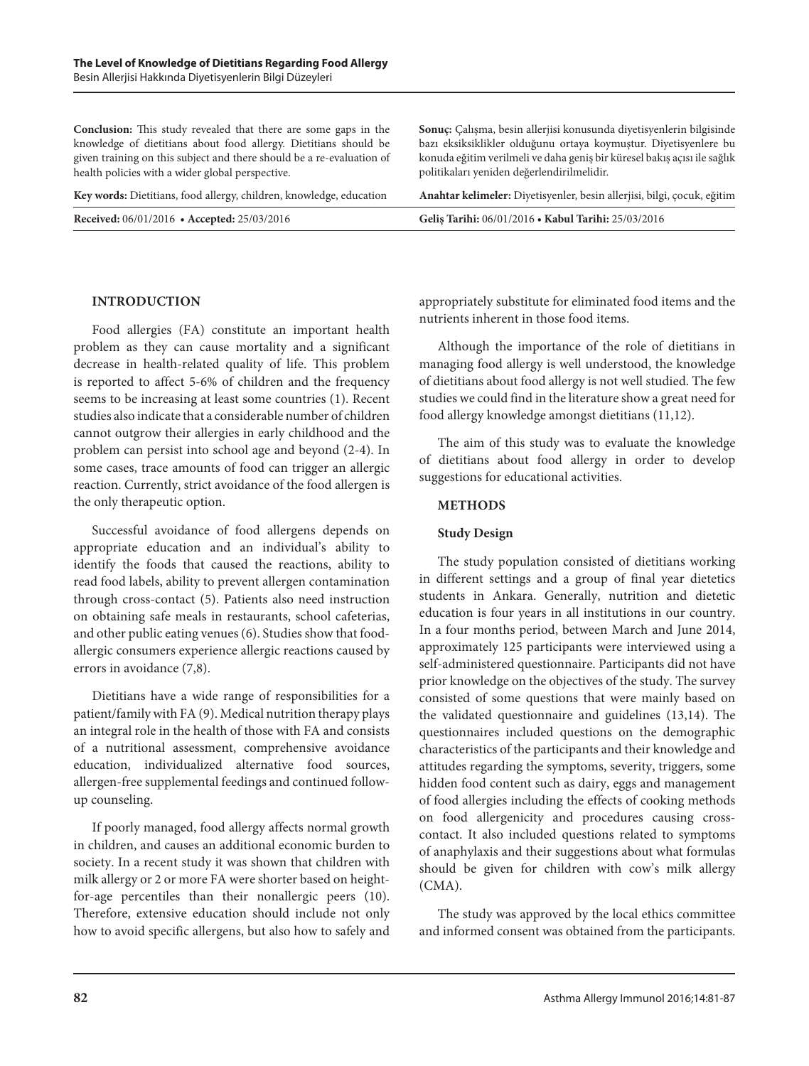**Conclusion:** This study revealed that there are some gaps in the knowledge of dietitians about food allergy. Dietitians should be given training on this subject and there should be a re-evaluation of health policies with a wider global perspective.

**Key words:** Dietitians, food allergy, children, knowledge, education **Anahtar kelimeler:** Diyetisyenler, besin allerjisi, bilgi, çocuk, eğitim

**Received:** 06/01/2016 **• Accepted:** 25/03/2016 **Geliş Tarihi:** 06/01/2016 **• Kabul Tarihi:** 25/03/2016

**Sonuç:** Çalışma, besin allerjisi konusunda diyetisyenlerin bilgisinde bazı eksiksiklikler olduğunu ortaya koymuştur. Diyetisyenlere bu konuda eğitim verilmeli ve daha geniş bir küresel bakış açısı ile sağlık politikaları yeniden değerlendirilmelidir.

| Gelis Tarihi: 06/01/2016 • Kabul Tarihi: 25/03/2016 |  |
|-----------------------------------------------------|--|
|-----------------------------------------------------|--|

#### **Introduction**

Food allergies (FA) constitute an important health problem as they can cause mortality and a significant decrease in health-related quality of life. This problem is reported to affect 5-6% of children and the frequency seems to be increasing at least some countries (1). Recent studies also indicate that a considerable number of children cannot outgrow their allergies in early childhood and the problem can persist into school age and beyond (2-4). In some cases, trace amounts of food can trigger an allergic reaction. Currently, strict avoidance of the food allergen is the only therapeutic option.

Successful avoidance of food allergens depends on appropriate education and an individual's ability to identify the foods that caused the reactions, ability to read food labels, ability to prevent allergen contamination through cross-contact (5). Patients also need instruction on obtaining safe meals in restaurants, school cafeterias, and other public eating venues (6). Studies show that foodallergic consumers experience allergic reactions caused by errors in avoidance (7,8).

Dietitians have a wide range of responsibilities for a patient/family with FA (9). Medical nutrition therapy plays an integral role in the health of those with FA and consists of a nutritional assessment, comprehensive avoidance education, individualized alternative food sources, allergen-free supplemental feedings and continued followup counseling.

If poorly managed, food allergy affects normal growth in children, and causes an additional economic burden to society. In a recent study it was shown that children with milk allergy or 2 or more FA were shorter based on heightfor-age percentiles than their nonallergic peers (10). Therefore, extensive education should include not only how to avoid specific allergens, but also how to safely and appropriately substitute for eliminated food items and the nutrients inherent in those food items.

Although the importance of the role of dietitians in managing food allergy is well understood, the knowledge of dietitians about food allergy is not well studied. The few studies we could find in the literature show a great need for food allergy knowledge amongst dietitians (11,12).

The aim of this study was to evaluate the knowledge of dietitians about food allergy in order to develop suggestions for educational activities.

#### **Methods**

#### **Study Design**

The study population consisted of dietitians working in different settings and a group of final year dietetics students in Ankara. Generally, nutrition and dietetic education is four years in all institutions in our country. In a four months period, between March and June 2014, approximately 125 participants were interviewed using a self-administered questionnaire. Participants did not have prior knowledge on the objectives of the study. The survey consisted of some questions that were mainly based on the validated questionnaire and guidelines (13,14). The questionnaires included questions on the demographic characteristics of the participants and their knowledge and attitudes regarding the symptoms, severity, triggers, some hidden food content such as dairy, eggs and management of food allergies including the effects of cooking methods on food allergenicity and procedures causing crosscontact. It also included questions related to symptoms of anaphylaxis and their suggestions about what formulas should be given for children with cow's milk allergy (CMA).

The study was approved by the local ethics committee and informed consent was obtained from the participants.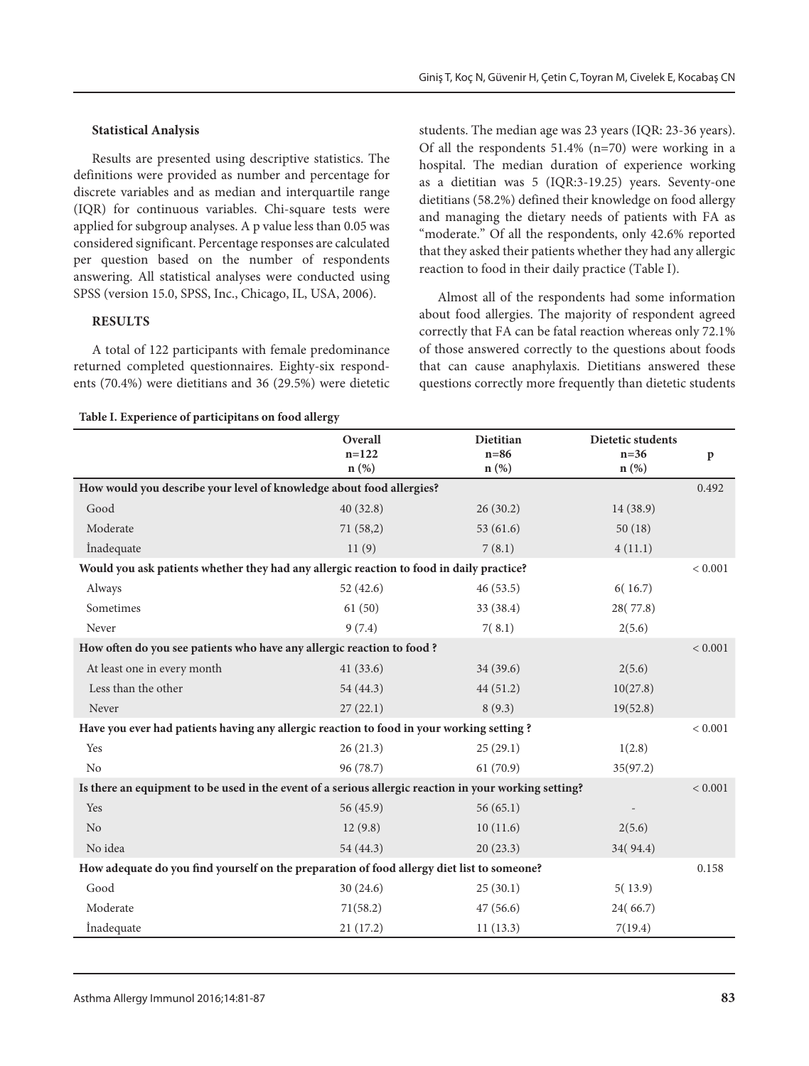## **Statistical Analysis**

Results are presented using descriptive statistics. The definitions were provided as number and percentage for discrete variables and as median and interquartile range (IQR) for continuous variables. Chi-square tests were applied for subgroup analyses. A p value less than 0.05 was considered significant. Percentage responses are calculated per question based on the number of respondents answering. All statistical analyses were conducted using SPSS (version 15.0, SPSS, Inc., Chicago, IL, USA, 2006).

## **Results**

A total of 122 participants with female predominance returned completed questionnaires. Eighty-six respondents (70.4%) were dietitians and 36 (29.5%) were dietetic

## **Table I. Experience of participitans on food allergy**

students. The median age was 23 years (IQR: 23-36 years). Of all the respondents 51.4% (n=70) were working in a hospital. The median duration of experience working as a dietitian was 5 (IQR:3-19.25) years. Seventy-one dietitians (58.2%) defined their knowledge on food allergy and managing the dietary needs of patients with FA as "moderate." Of all the respondents, only 42.6% reported that they asked their patients whether they had any allergic reaction to food in their daily practice (Table I).

Almost all of the respondents had some information about food allergies. The majority of respondent agreed correctly that FA can be fatal reaction whereas only 72.1% of those answered correctly to the questions about foods that can cause anaphylaxis. Dietitians answered these questions correctly more frequently than dietetic students

|                                                                                                       | Overall<br>$n=122$<br>$n$ (%) | Dietitian<br>$n=86$<br>$n$ (%) | Dietetic students<br>$n=36$<br>$n(\%)$ | $\, {\bf p}$ |  |
|-------------------------------------------------------------------------------------------------------|-------------------------------|--------------------------------|----------------------------------------|--------------|--|
| How would you describe your level of knowledge about food allergies?                                  |                               |                                |                                        |              |  |
| Good                                                                                                  | 40(32.8)                      | 26(30.2)                       | 14 (38.9)                              |              |  |
| Moderate                                                                                              | 71(58,2)                      | 53 $(61.6)$                    | 50(18)                                 |              |  |
| İnadequate                                                                                            | 11(9)                         | 7(8.1)                         | 4(11.1)                                |              |  |
| Would you ask patients whether they had any allergic reaction to food in daily practice?              |                               |                                |                                        | < 0.001      |  |
| Always                                                                                                | 52(42.6)                      | 46(53.5)                       | 6(16.7)                                |              |  |
| Sometimes                                                                                             | 61(50)                        | 33 (38.4)                      | 28(77.8)                               |              |  |
| Never                                                                                                 | 9(7.4)                        | 7(8.1)                         | 2(5.6)                                 |              |  |
| How often do you see patients who have any allergic reaction to food?                                 |                               |                                |                                        |              |  |
| At least one in every month                                                                           | 41(33.6)                      | 34(39.6)                       | 2(5.6)                                 |              |  |
| Less than the other                                                                                   | 54 (44.3)                     | 44(51.2)                       | 10(27.8)                               |              |  |
| Never                                                                                                 | 27(22.1)                      | 8(9.3)                         | 19(52.8)                               |              |  |
| Have you ever had patients having any allergic reaction to food in your working setting?              |                               |                                |                                        |              |  |
| Yes                                                                                                   | 26(21.3)                      | 25(29.1)                       | 1(2.8)                                 |              |  |
| No                                                                                                    | 96 (78.7)                     | 61(70.9)                       | 35(97.2)                               |              |  |
| Is there an equipment to be used in the event of a serious allergic reaction in your working setting? |                               |                                |                                        |              |  |
| Yes                                                                                                   | 56 (45.9)                     | 56(65.1)                       |                                        |              |  |
| N <sub>o</sub>                                                                                        | 12(9.8)                       | 10(11.6)                       | 2(5.6)                                 |              |  |
| No idea                                                                                               | 54 (44.3)                     | 20(23.3)                       | 34(94.4)                               |              |  |
| How adequate do you find yourself on the preparation of food allergy diet list to someone?            |                               |                                |                                        |              |  |
| Good                                                                                                  | 30(24.6)                      | 25(30.1)                       | 5(13.9)                                |              |  |
| Moderate                                                                                              | 71(58.2)                      | 47(56.6)                       | 24(66.7)                               |              |  |
| <i>inadequate</i>                                                                                     | 21(17.2)                      | 11(13.3)                       | 7(19.4)                                |              |  |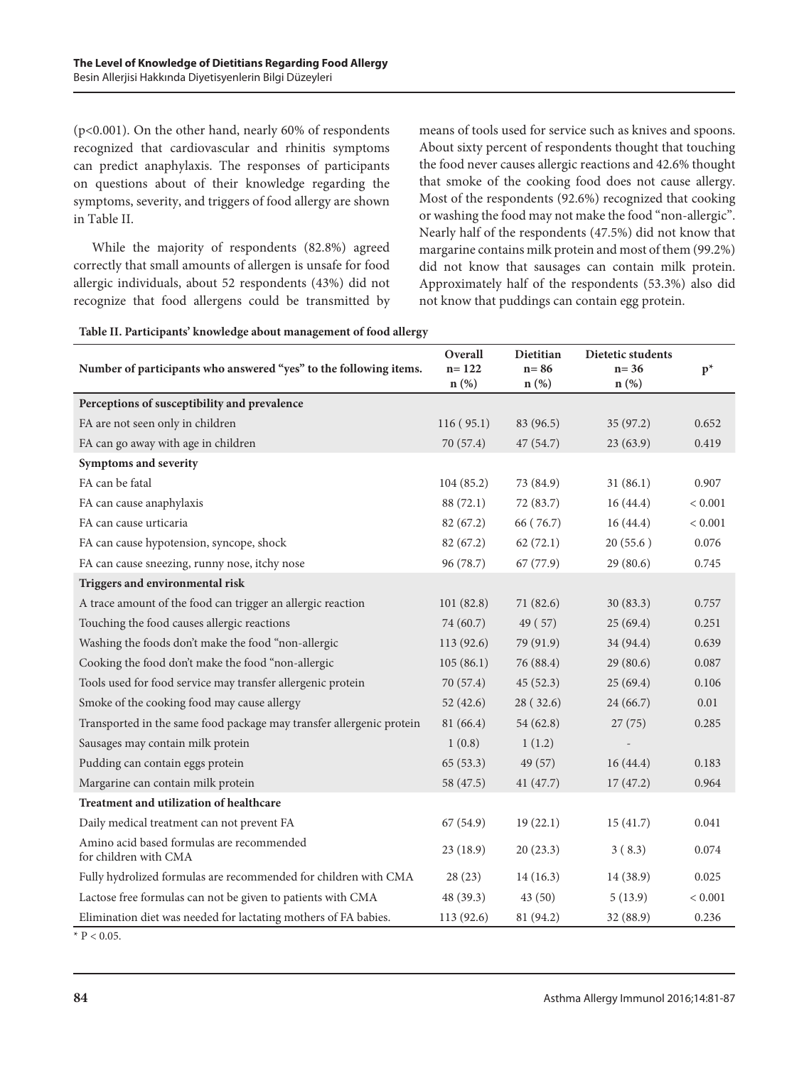(p<0.001). On the other hand, nearly 60% of respondents recognized that cardiovascular and rhinitis symptoms can predict anaphylaxis. The responses of participants on questions about of their knowledge regarding the symptoms, severity, and triggers of food allergy are shown in Table II.

While the majority of respondents (82.8%) agreed correctly that small amounts of allergen is unsafe for food allergic individuals, about 52 respondents (43%) did not recognize that food allergens could be transmitted by means of tools used for service such as knives and spoons. About sixty percent of respondents thought that touching the food never causes allergic reactions and 42.6% thought that smoke of the cooking food does not cause allergy. Most of the respondents (92.6%) recognized that cooking or washing the food may not make the food "non-allergic". Nearly half of the respondents (47.5%) did not know that margarine contains milk protein and most of them (99.2%) did not know that sausages can contain milk protein. Approximately half of the respondents (53.3%) also did not know that puddings can contain egg protein.

#### **Table II. Participants' knowledge about management of food allergy**

| Number of participants who answered "yes" to the following items.    | Overall<br>$n = 122$<br>$n$ (%) | Dietitian<br>$n = 86$<br>$n$ (%) | Dietetic students<br>$n = 36$<br>$n$ (%) | $p^*$       |
|----------------------------------------------------------------------|---------------------------------|----------------------------------|------------------------------------------|-------------|
| Perceptions of susceptibility and prevalence                         |                                 |                                  |                                          |             |
| FA are not seen only in children                                     | 116(95.1)                       | 83 (96.5)                        | 35(97.2)                                 | 0.652       |
| FA can go away with age in children                                  | 70 (57.4)                       | 47(54.7)                         | 23(63.9)                                 | 0.419       |
| Symptoms and severity                                                |                                 |                                  |                                          |             |
| FA can be fatal                                                      | 104(85.2)                       | 73 (84.9)                        | 31(86.1)                                 | 0.907       |
| FA can cause anaphylaxis                                             | 88 (72.1)                       | 72 (83.7)                        | 16(44.4)                                 | < 0.001     |
| FA can cause urticaria                                               | 82 (67.2)                       | 66 (76.7)                        | 16(44.4)                                 | ${}< 0.001$ |
| FA can cause hypotension, syncope, shock                             | 82 (67.2)                       | 62(72.1)                         | 20(55.6)                                 | 0.076       |
| FA can cause sneezing, runny nose, itchy nose                        | 96 (78.7)                       | 67(77.9)                         | 29(80.6)                                 | 0.745       |
| Triggers and environmental risk                                      |                                 |                                  |                                          |             |
| A trace amount of the food can trigger an allergic reaction          | 101(82.8)                       | 71 (82.6)                        | 30(83.3)                                 | 0.757       |
| Touching the food causes allergic reactions                          | 74 (60.7)                       | 49 (57)                          | 25(69.4)                                 | 0.251       |
| Washing the foods don't make the food "non-allergic                  | 113 (92.6)                      | 79 (91.9)                        | 34 (94.4)                                | 0.639       |
| Cooking the food don't make the food "non-allergic                   | 105(86.1)                       | 76 (88.4)                        | 29(80.6)                                 | 0.087       |
| Tools used for food service may transfer allergenic protein          | 70 (57.4)                       | 45(52.3)                         | 25(69.4)                                 | 0.106       |
| Smoke of the cooking food may cause allergy                          | 52(42.6)                        | 28(32.6)                         | 24(66.7)                                 | 0.01        |
| Transported in the same food package may transfer allergenic protein | 81 (66.4)                       | 54(62.8)                         | 27(75)                                   | 0.285       |
| Sausages may contain milk protein                                    | 1(0.8)                          | 1(1.2)                           |                                          |             |
| Pudding can contain eggs protein                                     | 65(53.3)                        | 49(57)                           | 16(44.4)                                 | 0.183       |
| Margarine can contain milk protein                                   | 58 (47.5)                       | 41(47.7)                         | 17(47.2)                                 | 0.964       |
| Treatment and utilization of healthcare                              |                                 |                                  |                                          |             |
| Daily medical treatment can not prevent FA                           | 67(54.9)                        | 19(22.1)                         | 15(41.7)                                 | 0.041       |
| Amino acid based formulas are recommended<br>for children with CMA   | 23(18.9)                        | 20(23.3)                         | 3(8.3)                                   | 0.074       |
| Fully hydrolized formulas are recommended for children with CMA      | 28(23)                          | 14(16.3)                         | 14 (38.9)                                | 0.025       |
| Lactose free formulas can not be given to patients with CMA          | 48 (39.3)                       | 43(50)                           | 5(13.9)                                  | < 0.001     |
| Elimination diet was needed for lactating mothers of FA babies.      | 113 (92.6)                      | 81 (94.2)                        | 32 (88.9)                                | 0.236       |

 $*$  P < 0.05.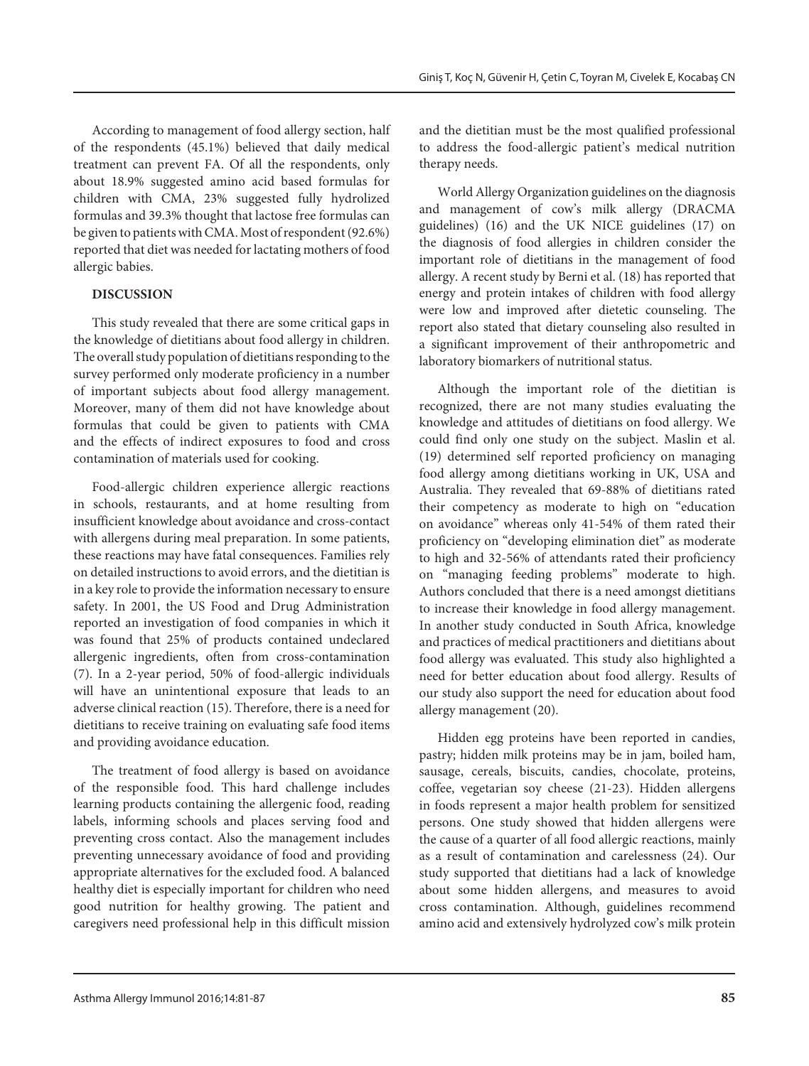According to management of food allergy section, half of the respondents (45.1%) believed that daily medical treatment can prevent FA. Of all the respondents, only about 18.9% suggested amino acid based formulas for children with CMA, 23% suggested fully hydrolized formulas and 39.3% thought that lactose free formulas can be given to patients with CMA. Most of respondent (92.6%) reported that diet was needed for lactating mothers of food allergic babies.

## **DISCUSSION**

This study revealed that there are some critical gaps in the knowledge of dietitians about food allergy in children. The overall study population of dietitians responding to the survey performed only moderate proficiency in a number of important subjects about food allergy management. Moreover, many of them did not have knowledge about formulas that could be given to patients with CMA and the effects of indirect exposures to food and cross contamination of materials used for cooking.

Food-allergic children experience allergic reactions in schools, restaurants, and at home resulting from insufficient knowledge about avoidance and cross-contact with allergens during meal preparation. In some patients, these reactions may have fatal consequences. Families rely on detailed instructions to avoid errors, and the dietitian is in a key role to provide the information necessary to ensure safety. In 2001, the US Food and Drug Administration reported an investigation of food companies in which it was found that 25% of products contained undeclared allergenic ingredients, often from cross-contamination (7). In a 2-year period, 50% of food-allergic individuals will have an unintentional exposure that leads to an adverse clinical reaction (15). Therefore, there is a need for dietitians to receive training on evaluating safe food items and providing avoidance education.

The treatment of food allergy is based on avoidance of the responsible food. This hard challenge includes learning products containing the allergenic food, reading labels, informing schools and places serving food and preventing cross contact. Also the management includes preventing unnecessary avoidance of food and providing appropriate alternatives for the excluded food. A balanced healthy diet is especially important for children who need good nutrition for healthy growing. The patient and caregivers need professional help in this difficult mission and the dietitian must be the most qualified professional to address the food-allergic patient's medical nutrition therapy needs.

World Allergy Organization guidelines on the diagnosis and management of cow's milk allergy (DRACMA guidelines) (16) and the UK NICE guidelines (17) on the diagnosis of food allergies in children consider the important role of dietitians in the management of food allergy. A recent study by Berni et al. (18) has reported that energy and protein intakes of children with food allergy were low and improved after dietetic counseling. The report also stated that dietary counseling also resulted in a significant improvement of their anthropometric and laboratory biomarkers of nutritional status.

Although the important role of the dietitian is recognized, there are not many studies evaluating the knowledge and attitudes of dietitians on food allergy. We could find only one study on the subject. Maslin et al. (19) determined self reported proficiency on managing food allergy among dietitians working in UK, USA and Australia. They revealed that 69-88% of dietitians rated their competency as moderate to high on "education on avoidance" whereas only 41-54% of them rated their proficiency on "developing elimination diet" as moderate to high and 32-56% of attendants rated their proficiency on "managing feeding problems" moderate to high. Authors concluded that there is a need amongst dietitians to increase their knowledge in food allergy management. In another study conducted in South Africa, knowledge and practices of medical practitioners and dietitians about food allergy was evaluated. This study also highlighted a need for better education about food allergy. Results of our study also support the need for education about food allergy management (20).

Hidden egg proteins have been reported in candies, pastry; hidden milk proteins may be in jam, boiled ham, sausage, cereals, biscuits, candies, chocolate, proteins, coffee, vegetarian soy cheese (21-23). Hidden allergens in foods represent a major health problem for sensitized persons. One study showed that hidden allergens were the cause of a quarter of all food allergic reactions, mainly as a result of contamination and carelessness (24). Our study supported that dietitians had a lack of knowledge about some hidden allergens, and measures to avoid cross contamination. Although, guidelines recommend amino acid and extensively hydrolyzed cow's milk protein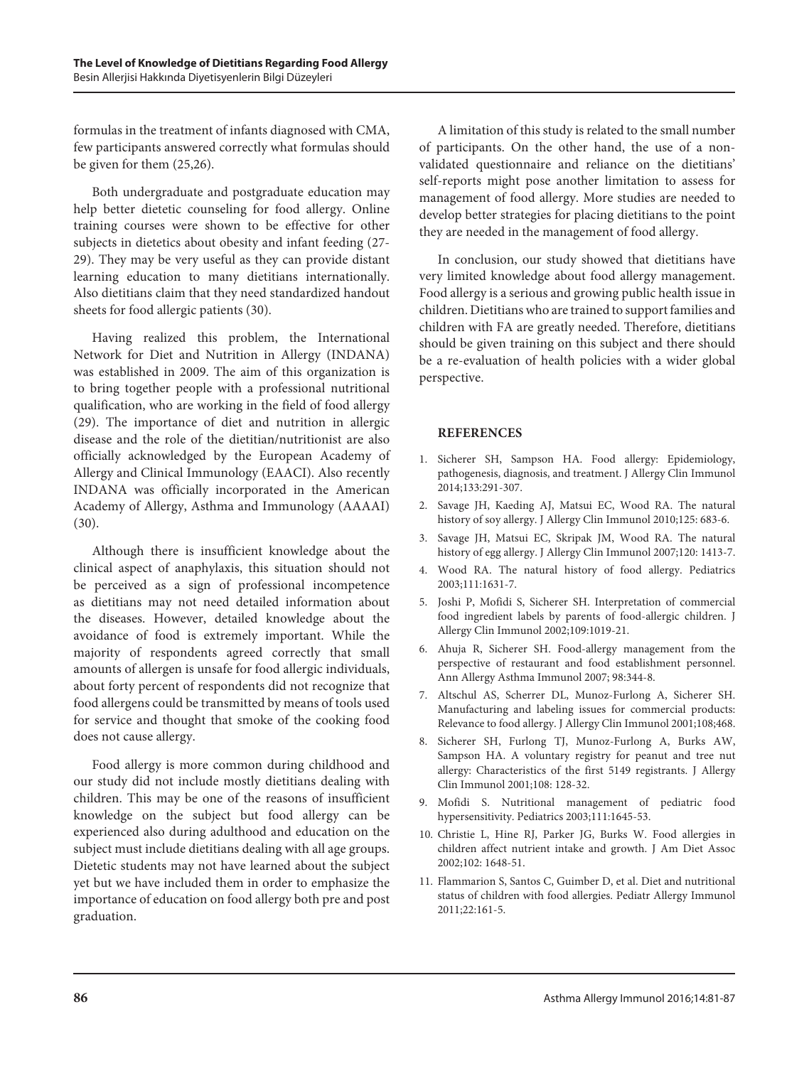formulas in the treatment of infants diagnosed with CMA, few participants answered correctly what formulas should be given for them (25,26).

Both undergraduate and postgraduate education may help better dietetic counseling for food allergy. Online training courses were shown to be effective for other subjects in dietetics about obesity and infant feeding (27- 29). They may be very useful as they can provide distant learning education to many dietitians internationally. Also dietitians claim that they need standardized handout sheets for food allergic patients (30).

Having realized this problem, the International Network for Diet and Nutrition in Allergy (INDANA) was established in 2009. The aim of this organization is to bring together people with a professional nutritional qualification, who are working in the field of food allergy (29). The importance of diet and nutrition in allergic disease and the role of the dietitian/nutritionist are also officially acknowledged by the European Academy of Allergy and Clinical Immunology (EAACI). Also recently INDANA was officially incorporated in the American Academy of Allergy, Asthma and Immunology (AAAAI) (30).

Although there is insufficient knowledge about the clinical aspect of anaphylaxis, this situation should not be perceived as a sign of professional incompetence as dietitians may not need detailed information about the diseases. However, detailed knowledge about the avoidance of food is extremely important. While the majority of respondents agreed correctly that small amounts of allergen is unsafe for food allergic individuals, about forty percent of respondents did not recognize that food allergens could be transmitted by means of tools used for service and thought that smoke of the cooking food does not cause allergy.

Food allergy is more common during childhood and our study did not include mostly dietitians dealing with children. This may be one of the reasons of insufficient knowledge on the subject but food allergy can be experienced also during adulthood and education on the subject must include dietitians dealing with all age groups. Dietetic students may not have learned about the subject yet but we have included them in order to emphasize the importance of education on food allergy both pre and post graduation.

A limitation of this study is related to the small number of participants. On the other hand, the use of a nonvalidated questionnaire and reliance on the dietitians' self-reports might pose another limitation to assess for management of food allergy. More studies are needed to develop better strategies for placing dietitians to the point they are needed in the management of food allergy.

In conclusion, our study showed that dietitians have very limited knowledge about food allergy management. Food allergy is a serious and growing public health issue in children. Dietitians who are trained to support families and children with FA are greatly needed. Therefore, dietitians should be given training on this subject and there should be a re-evaluation of health policies with a wider global perspective.

### **References**

- 1. Sicherer SH, Sampson HA. Food allergy: Epidemiology, pathogenesis, diagnosis, and treatment. J Allergy Clin Immunol 2014;133:291-307.
- 2. Savage JH, Kaeding AJ, Matsui EC, Wood RA. The natural history of soy allergy. J Allergy Clin Immunol 2010;125: 683-6.
- 3. Savage JH, Matsui EC, Skripak JM, Wood RA. The natural history of egg allergy. J Allergy Clin Immunol 2007;120: 1413-7.
- 4. Wood RA. The natural history of food allergy. Pediatrics 2003;111:1631-7.
- 5. Joshi P, Mofidi S, Sicherer SH. Interpretation of commercial food ingredient labels by parents of food-allergic children. J Allergy Clin Immunol 2002;109:1019-21.
- 6. Ahuja R, Sicherer SH. Food-allergy management from the perspective of restaurant and food establishment personnel. Ann Allergy Asthma Immunol 2007; 98:344-8.
- 7. Altschul AS, Scherrer DL, Munoz-Furlong A, Sicherer SH. Manufacturing and labeling issues for commercial products: Relevance to food allergy. J Allergy Clin Immunol 2001;108;468.
- 8. Sicherer SH, Furlong TJ, Munoz-Furlong A, Burks AW, Sampson HA. A voluntary registry for peanut and tree nut allergy: Characteristics of the first 5149 registrants. J Allergy Clin Immunol 2001;108: 128-32.
- 9. Mofidi S. Nutritional management of pediatric food hypersensitivity. Pediatrics 2003;111:1645-53.
- 10. Christie L, Hine RJ, Parker JG, Burks W. Food allergies in children affect nutrient intake and growth. J Am Diet Assoc 2002;102: 1648-51.
- 11. Flammarion S, Santos C, Guimber D, et al. Diet and nutritional status of children with food allergies. Pediatr Allergy Immunol 2011;22:161-5.